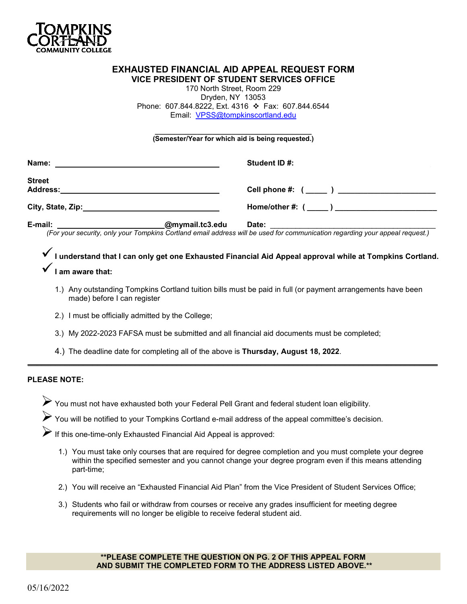

# **EXHAUSTED FINANCIAL AID APPEAL REQUEST FORM VICE PRESIDENT OF STUDENT SERVICES OFFICE**

170 North Street, Room 229 Dryden, NY 13053 Phone: 607.844.8222, Ext. 4316 ❖ Fax: 607.844.6544 Email: [VPSS@tompkinscortland.edu](mailto:VPSS@tompkinscortland.edu) 

#### **\_\_\_\_\_\_\_\_\_\_\_\_\_\_\_\_\_\_\_\_\_\_\_\_\_\_\_\_\_\_\_\_\_\_\_\_\_\_\_\_\_ (Semester/Year for which aid is being requested.)**

| Name:                                                                                                                                                     |                 | Student ID #:                                 |
|-----------------------------------------------------------------------------------------------------------------------------------------------------------|-----------------|-----------------------------------------------|
| <b>Street</b><br><b>Address:</b><br><u>and the state of the state of the state of the state of the state of the state of the state of the state of th</u> |                 | Cell phone #: ( _____ ) _____________________ |
|                                                                                                                                                           |                 | $Home/other #: (________ )$                   |
| E-mail:                                                                                                                                                   | @mymail.tc3.edu | Date:                                         |

 *(For your security, only your Tompkins Cortland email address will be used for communication regarding your appeal request.)* 

**I understand that I can only get one Exhausted Financial Aid Appeal approval while at Tompkins Cortland. I am aware that:**

- 1.) Any outstanding Tompkins Cortland tuition bills must be paid in full (or payment arrangements have been made) before I can register
- 2.) I must be officially admitted by the College;
- 3.) My 2022-2023 FAFSA must be submitted and all financial aid documents must be completed;

 $\mathcal{L}_\mathcal{L} = \mathcal{L}_\mathcal{L} = \mathcal{L}_\mathcal{L} = \mathcal{L}_\mathcal{L} = \mathcal{L}_\mathcal{L} = \mathcal{L}_\mathcal{L} = \mathcal{L}_\mathcal{L} = \mathcal{L}_\mathcal{L} = \mathcal{L}_\mathcal{L} = \mathcal{L}_\mathcal{L} = \mathcal{L}_\mathcal{L} = \mathcal{L}_\mathcal{L} = \mathcal{L}_\mathcal{L} = \mathcal{L}_\mathcal{L} = \mathcal{L}_\mathcal{L} = \mathcal{L}_\mathcal{L} = \mathcal{L}_\mathcal{L}$ 

4.) The deadline date for completing all of the above is **Thursday, August 18, 2022**.

## **PLEASE NOTE:**

You must not have exhausted both your Federal Pell Grant and federal student loan eligibility.

You will be notified to your Tompkins Cortland e-mail address of the appeal committee's decision.

 $\blacktriangleright$  If this one-time-only Exhausted Financial Aid Appeal is approved:

- 1.) You must take only courses that are required for degree completion and you must complete your degree within the specified semester and you cannot change your degree program even if this means attending part-time;
- 2.) You will receive an "Exhausted Financial Aid Plan" from the Vice President of Student Services Office;
- 3.) Students who fail or withdraw from courses or receive any grades insufficient for meeting degree requirements will no longer be eligible to receive federal student aid.

#### **\*\*PLEASE COMPLETE THE QUESTION ON PG. 2 OF THIS APPEAL FORM AND SUBMIT THE COMPLETED FORM TO THE ADDRESS LISTED ABOVE.\*\***